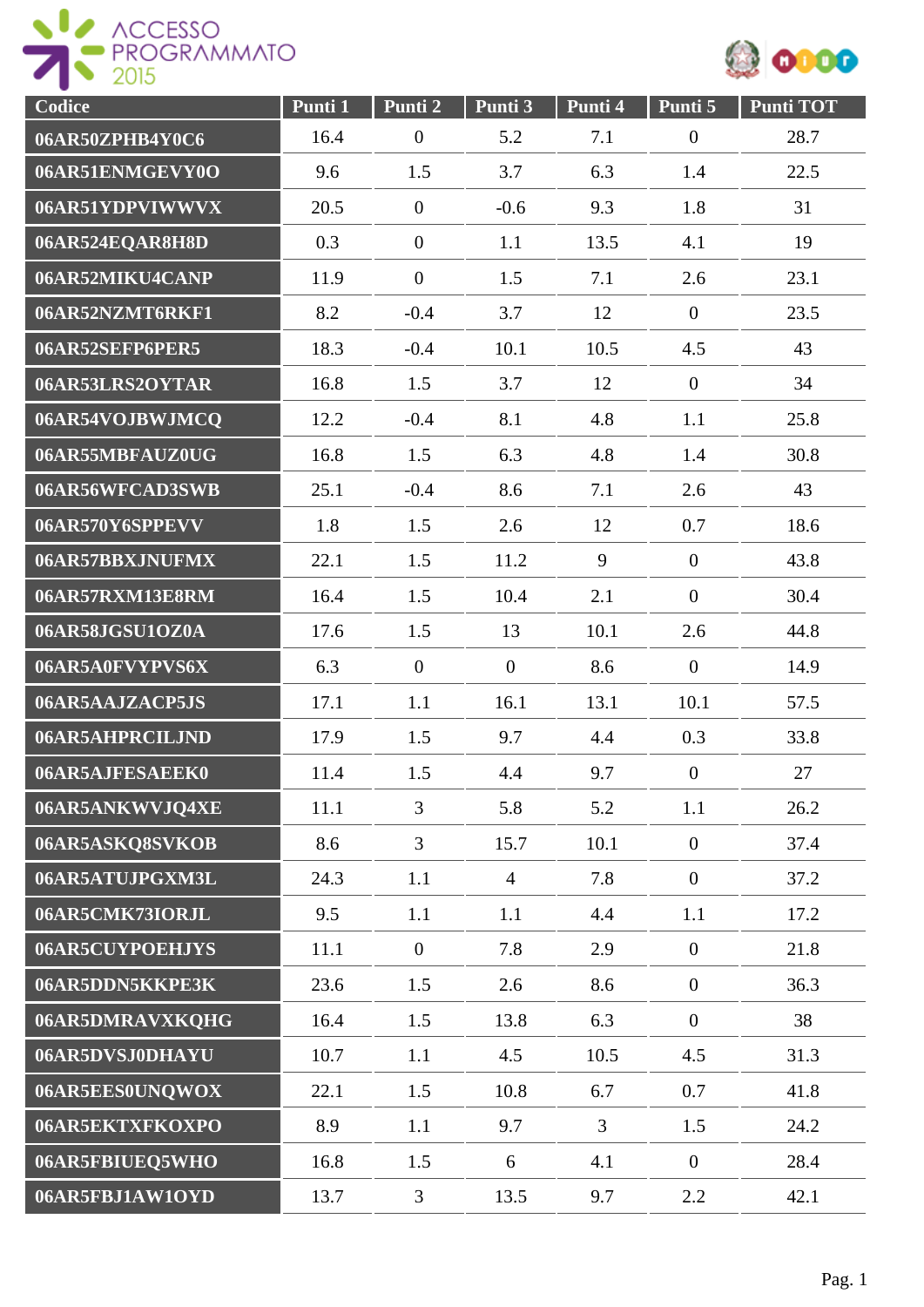

| Codice          | Punti 1 | Punti 2          | Punti 3        | Punti 4        | Punti 5          | <b>Punti TOT</b> |
|-----------------|---------|------------------|----------------|----------------|------------------|------------------|
| 06AR50ZPHB4Y0C6 | 16.4    | $\boldsymbol{0}$ | 5.2            | 7.1            | $\boldsymbol{0}$ | 28.7             |
| 06AR51ENMGEVY0O | 9.6     | 1.5              | 3.7            | 6.3            | 1.4              | 22.5             |
| 06AR51YDPVIWWVX | 20.5    | $\boldsymbol{0}$ | $-0.6$         | 9.3            | 1.8              | 31               |
| 06AR524EQAR8H8D | 0.3     | $\boldsymbol{0}$ | 1.1            | 13.5           | 4.1              | 19               |
| 06AR52MIKU4CANP | 11.9    | $\boldsymbol{0}$ | 1.5            | 7.1            | 2.6              | 23.1             |
| 06AR52NZMT6RKF1 | 8.2     | $-0.4$           | 3.7            | 12             | $\overline{0}$   | 23.5             |
| 06AR52SEFP6PER5 | 18.3    | $-0.4$           | 10.1           | 10.5           | 4.5              | 43               |
| 06AR53LRS2OYTAR | 16.8    | 1.5              | 3.7            | 12             | $\overline{0}$   | 34               |
| 06AR54VOJBWJMCQ | 12.2    | $-0.4$           | 8.1            | 4.8            | 1.1              | 25.8             |
| 06AR55MBFAUZ0UG | 16.8    | 1.5              | 6.3            | 4.8            | 1.4              | 30.8             |
| 06AR56WFCAD3SWB | 25.1    | $-0.4$           | 8.6            | 7.1            | 2.6              | 43               |
| 06AR570Y6SPPEVV | 1.8     | 1.5              | 2.6            | 12             | 0.7              | 18.6             |
| 06AR57BBXJNUFMX | 22.1    | 1.5              | 11.2           | 9              | $\overline{0}$   | 43.8             |
| 06AR57RXM13E8RM | 16.4    | 1.5              | 10.4           | 2.1            | $\overline{0}$   | 30.4             |
| 06AR58JGSU1OZ0A | 17.6    | 1.5              | 13             | 10.1           | 2.6              | 44.8             |
| 06AR5A0FVYPVS6X | 6.3     | $\overline{0}$   | $\overline{0}$ | 8.6            | $\boldsymbol{0}$ | 14.9             |
| 06AR5AAJZACP5JS | 17.1    | 1.1              | 16.1           | 13.1           | 10.1             | 57.5             |
| 06AR5AHPRCILJND | 17.9    | 1.5              | 9.7            | 4.4            | 0.3              | 33.8             |
| 06AR5AJFESAEEK0 | 11.4    | 1.5              | 4.4            | 9.7            | $\overline{0}$   | 27               |
| 06AR5ANKWVJQ4XE | 11.1    | 3                | 5.8            | 5.2            | 1.1              | 26.2             |
| 06AR5ASKQ8SVKOB | 8.6     | $\overline{3}$   | 15.7           | 10.1           | $\overline{0}$   | 37.4             |
| 06AR5ATUJPGXM3L | 24.3    | 1.1              | $\overline{4}$ | 7.8            | $\overline{0}$   | 37.2             |
| 06AR5CMK73IORJL | 9.5     | 1.1              | 1.1            | 4.4            | 1.1              | 17.2             |
| 06AR5CUYPOEHJYS | 11.1    | $\overline{0}$   | 7.8            | 2.9            | $\overline{0}$   | 21.8             |
| 06AR5DDN5KKPE3K | 23.6    | 1.5              | 2.6            | 8.6            | $\mathbf{0}$     | 36.3             |
| 06AR5DMRAVXKQHG | 16.4    | 1.5              | 13.8           | 6.3            | $\overline{0}$   | 38               |
| 06AR5DVSJ0DHAYU | 10.7    | 1.1              | 4.5            | 10.5           | 4.5              | 31.3             |
| 06AR5EES0UNQWOX | 22.1    | 1.5              | 10.8           | 6.7            | 0.7              | 41.8             |
| 06AR5EKTXFKOXPO | 8.9     | 1.1              | 9.7            | $\overline{3}$ | 1.5              | 24.2             |
| 06AR5FBIUEQ5WHO | 16.8    | 1.5              | 6              | 4.1            | $\overline{0}$   | 28.4             |
| 06AR5FBJ1AW1OYD | 13.7    | $\overline{3}$   | 13.5           | 9.7            | 2.2              | 42.1             |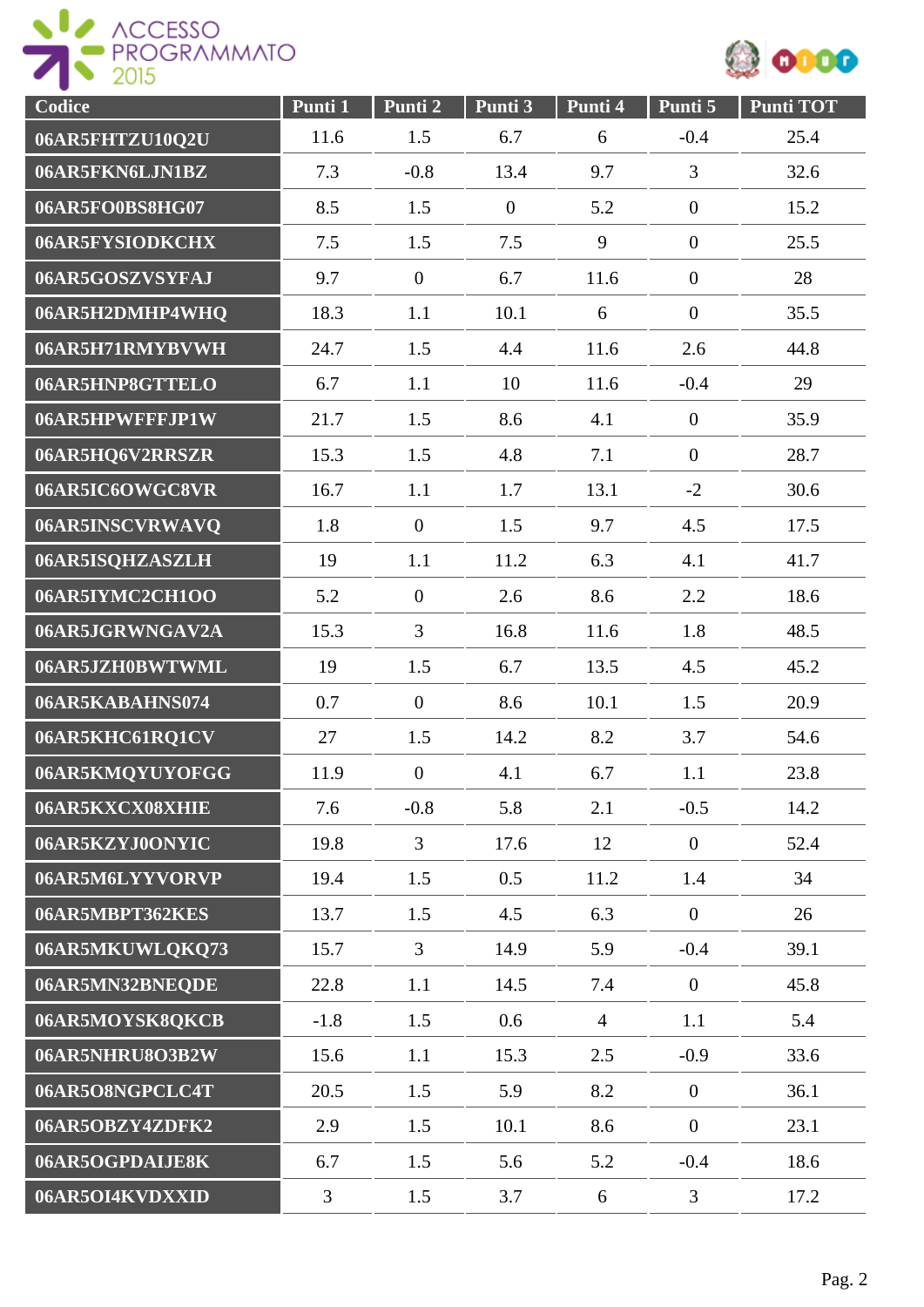



| Codice          | Punti 1 | Punti 2          | Punti 3        | Punti 4        | Punti 5          | <b>Punti TOT</b> |
|-----------------|---------|------------------|----------------|----------------|------------------|------------------|
| 06AR5FHTZU10Q2U | 11.6    | 1.5              | 6.7            | 6              | $-0.4$           | 25.4             |
| 06AR5FKN6LJN1BZ | 7.3     | $-0.8$           | 13.4           | 9.7            | 3                | 32.6             |
| 06AR5FO0BS8HG07 | 8.5     | 1.5              | $\overline{0}$ | 5.2            | $\boldsymbol{0}$ | 15.2             |
| 06AR5FYSIODKCHX | 7.5     | 1.5              | 7.5            | 9              | $\overline{0}$   | 25.5             |
| 06AR5GOSZVSYFAJ | 9.7     | $\boldsymbol{0}$ | 6.7            | 11.6           | $\boldsymbol{0}$ | 28               |
| 06AR5H2DMHP4WHQ | 18.3    | 1.1              | 10.1           | 6              | $\mathbf{0}$     | 35.5             |
| 06AR5H71RMYBVWH | 24.7    | 1.5              | 4.4            | 11.6           | 2.6              | 44.8             |
| 06AR5HNP8GTTELO | 6.7     | 1.1              | 10             | 11.6           | $-0.4$           | 29               |
| 06AR5HPWFFFJP1W | 21.7    | 1.5              | 8.6            | 4.1            | $\overline{0}$   | 35.9             |
| 06AR5HQ6V2RRSZR | 15.3    | 1.5              | 4.8            | 7.1            | $\overline{0}$   | 28.7             |
| 06AR5IC6OWGC8VR | 16.7    | 1.1              | 1.7            | 13.1           | $-2$             | 30.6             |
| 06AR5INSCVRWAVQ | 1.8     | $\overline{0}$   | 1.5            | 9.7            | 4.5              | 17.5             |
| 06AR5ISQHZASZLH | 19      | 1.1              | 11.2           | 6.3            | 4.1              | 41.7             |
| 06AR5IYMC2CH1OO | 5.2     | $\boldsymbol{0}$ | 2.6            | 8.6            | 2.2              | 18.6             |
| 06AR5JGRWNGAV2A | 15.3    | $\overline{3}$   | 16.8           | 11.6           | 1.8              | 48.5             |
| 06AR5JZH0BWTWML | 19      | 1.5              | 6.7            | 13.5           | 4.5              | 45.2             |
| 06AR5KABAHNS074 | 0.7     | $\overline{0}$   | 8.6            | 10.1           | 1.5              | 20.9             |
| 06AR5KHC61RQ1CV | 27      | 1.5              | 14.2           | 8.2            | 3.7              | 54.6             |
| 06AR5KMQYUYOFGG | 11.9    | $\overline{0}$   | 4.1            | 6.7            | 1.1              | 23.8             |
| 06AR5KXCX08XHIE | 7.6     | $-0.8$           | 5.8            | 2.1            | $-0.5$           | 14.2             |
| 06AR5KZYJ0ONYIC | 19.8    | 3                | 17.6           | 12             | $\mathbf{0}$     | 52.4             |
| 06AR5M6LYYVORVP | 19.4    | 1.5              | 0.5            | 11.2           | 1.4              | 34               |
| 06AR5MBPT362KES | 13.7    | 1.5              | 4.5            | 6.3            | $\mathbf{0}$     | 26               |
| 06AR5MKUWLQKQ73 | 15.7    | $\overline{3}$   | 14.9           | 5.9            | $-0.4$           | 39.1             |
| 06AR5MN32BNEQDE | 22.8    | 1.1              | 14.5           | 7.4            | $\mathbf{0}$     | 45.8             |
| 06AR5MOYSK8QKCB | $-1.8$  | 1.5              | 0.6            | $\overline{4}$ | 1.1              | 5.4              |
| 06AR5NHRU8O3B2W | 15.6    | 1.1              | 15.3           | 2.5            | $-0.9$           | 33.6             |
| 06AR5O8NGPCLC4T | 20.5    | 1.5              | 5.9            | 8.2            | $\overline{0}$   | 36.1             |
| 06AR5OBZY4ZDFK2 | 2.9     | 1.5              | 10.1           | 8.6            | $\overline{0}$   | 23.1             |
| 06AR5OGPDAIJE8K | 6.7     | 1.5              | 5.6            | 5.2            | $-0.4$           | 18.6             |
| 06AR5OI4KVDXXID | 3       | 1.5              | 3.7            | 6              | $\overline{3}$   | 17.2             |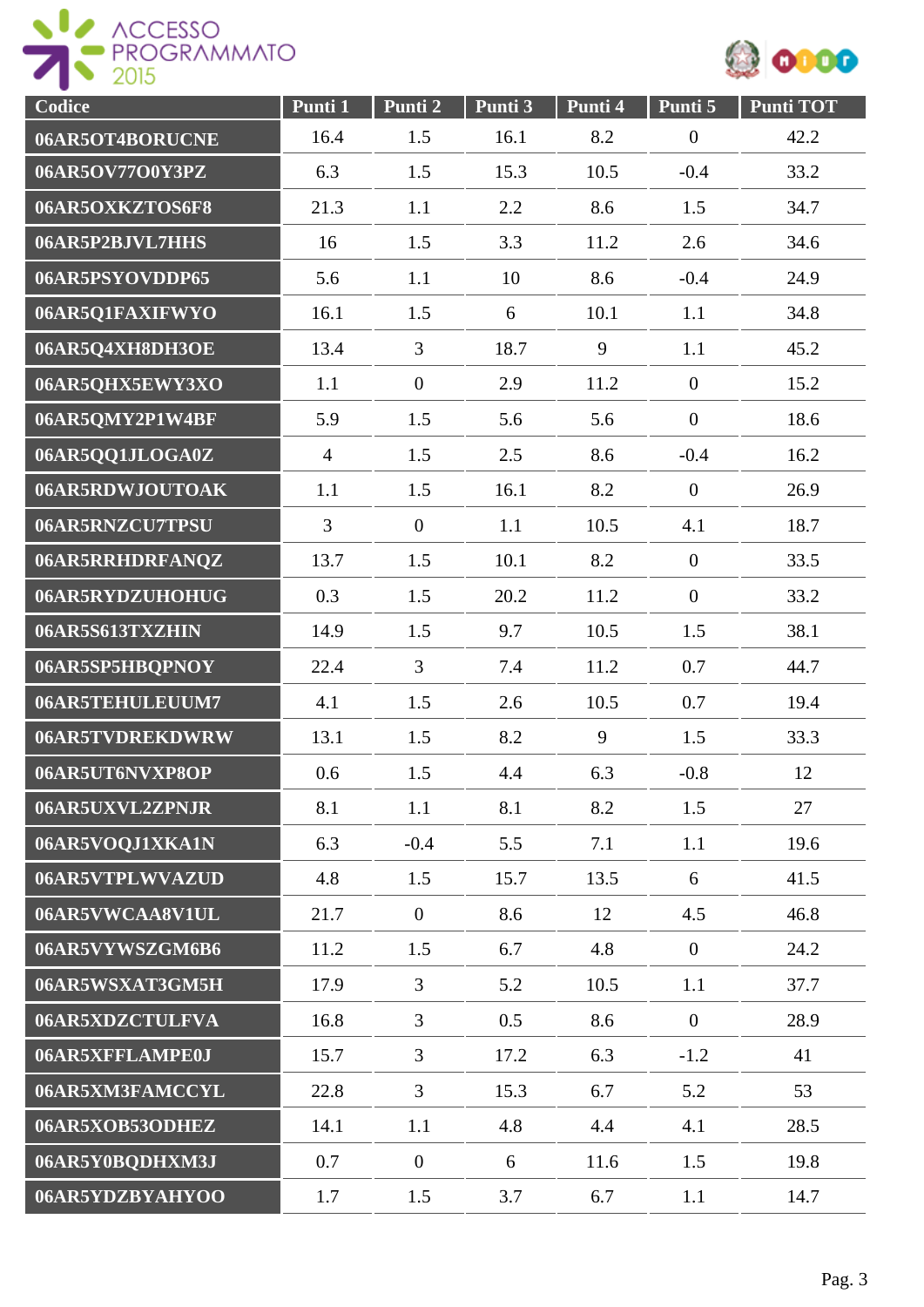

| Codice          | Punti 1        | Punti <sub>2</sub> | Punti 3 | Punti 4 | Punti 5          | <b>Punti TOT</b> |
|-----------------|----------------|--------------------|---------|---------|------------------|------------------|
| 06AR5OT4BORUCNE | 16.4           | 1.5                | 16.1    | 8.2     | $\boldsymbol{0}$ | 42.2             |
| 06AR5OV77O0Y3PZ | 6.3            | 1.5                | 15.3    | 10.5    | $-0.4$           | 33.2             |
| 06AR5OXKZTOS6F8 | 21.3           | 1.1                | 2.2     | 8.6     | 1.5              | 34.7             |
| 06AR5P2BJVL7HHS | 16             | 1.5                | 3.3     | 11.2    | 2.6              | 34.6             |
| 06AR5PSYOVDDP65 | 5.6            | 1.1                | 10      | 8.6     | $-0.4$           | 24.9             |
| 06AR5Q1FAXIFWYO | 16.1           | 1.5                | 6       | 10.1    | 1.1              | 34.8             |
| 06AR5Q4XH8DH3OE | 13.4           | $\overline{3}$     | 18.7    | 9       | 1.1              | 45.2             |
| 06AR5QHX5EWY3XO | 1.1            | $\overline{0}$     | 2.9     | 11.2    | $\overline{0}$   | 15.2             |
| 06AR5QMY2P1W4BF | 5.9            | 1.5                | 5.6     | 5.6     | $\overline{0}$   | 18.6             |
| 06AR5QQ1JLOGA0Z | $\overline{4}$ | 1.5                | 2.5     | 8.6     | $-0.4$           | 16.2             |
| 06AR5RDWJOUTOAK | 1.1            | 1.5                | 16.1    | 8.2     | $\overline{0}$   | 26.9             |
| 06AR5RNZCU7TPSU | $\overline{3}$ | $\overline{0}$     | 1.1     | 10.5    | 4.1              | 18.7             |
| 06AR5RRHDRFANQZ | 13.7           | 1.5                | 10.1    | 8.2     | $\overline{0}$   | 33.5             |
| 06AR5RYDZUHOHUG | 0.3            | 1.5                | 20.2    | 11.2    | $\boldsymbol{0}$ | 33.2             |
| 06AR5S613TXZHIN | 14.9           | 1.5                | 9.7     | 10.5    | 1.5              | 38.1             |
| 06AR5SP5HBQPNOY | 22.4           | 3                  | 7.4     | 11.2    | 0.7              | 44.7             |
| 06AR5TEHULEUUM7 | 4.1            | 1.5                | 2.6     | 10.5    | 0.7              | 19.4             |
| 06AR5TVDREKDWRW | 13.1           | 1.5                | 8.2     | 9       | 1.5              | 33.3             |
| 06AR5UT6NVXP8OP | 0.6            | 1.5                | 4.4     | 6.3     | $-0.8$           | 12               |
| 06AR5UXVL2ZPNJR | 8.1            | 1.1                | 8.1     | 8.2     | 1.5              | 27               |
| 06AR5VOQJ1XKA1N | 6.3            | $-0.4$             | 5.5     | 7.1     | 1.1              | 19.6             |
| 06AR5VTPLWVAZUD | 4.8            | 1.5                | 15.7    | 13.5    | 6                | 41.5             |
| 06AR5VWCAA8V1UL | 21.7           | $\overline{0}$     | 8.6     | 12      | 4.5              | 46.8             |
| 06AR5VYWSZGM6B6 | 11.2           | 1.5                | 6.7     | 4.8     | $\overline{0}$   | 24.2             |
| 06AR5WSXAT3GM5H | 17.9           | $\overline{3}$     | 5.2     | 10.5    | 1.1              | 37.7             |
| 06AR5XDZCTULFVA | 16.8           | $\overline{3}$     | 0.5     | 8.6     | $\overline{0}$   | 28.9             |
| 06AR5XFFLAMPE0J | 15.7           | $\overline{3}$     | 17.2    | 6.3     | $-1.2$           | 41               |
| 06AR5XM3FAMCCYL | 22.8           | $\overline{3}$     | 15.3    | 6.7     | 5.2              | 53               |
| 06AR5XOB53ODHEZ | 14.1           | 1.1                | 4.8     | 4.4     | 4.1              | 28.5             |
| 06AR5Y0BQDHXM3J | 0.7            | $\overline{0}$     | 6       | 11.6    | 1.5              | 19.8             |
| 06AR5YDZBYAHYOO | 1.7            | 1.5                | 3.7     | 6.7     | 1.1              | 14.7             |